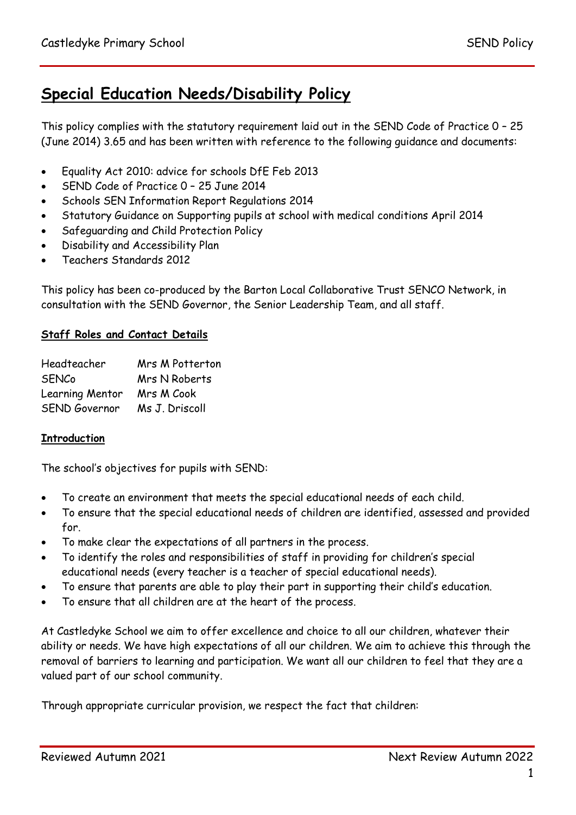# **Special Education Needs/Disability Policy**

This policy complies with the statutory requirement laid out in the SEND Code of Practice 0 – 25 (June 2014) 3.65 and has been written with reference to the following guidance and documents:

- Equality Act 2010: advice for schools DfE Feb 2013
- SEND Code of Practice 0 25 June 2014
- **Schools SEN Information Report Regulations 2014**
- Statutory Guidance on Supporting pupils at school with medical conditions April 2014
- Safeguarding and Child Protection Policy
- Disability and Accessibility Plan
- Teachers Standards 2012

This policy has been co-produced by the Barton Local Collaborative Trust SENCO Network, in consultation with the SEND Governor, the Senior Leadership Team, and all staff.

## **Staff Roles and Contact Details**

| Headteacher          | Mrs M Potterton |
|----------------------|-----------------|
| <b>SENCo</b>         | Mrs N Roberts   |
| Learning Mentor      | Mrs M Cook      |
| <b>SEND Governor</b> | Ms J. Driscoll  |

## **Introduction**

The school's objectives for pupils with SEND:

- To create an environment that meets the special educational needs of each child.
- To ensure that the special educational needs of children are identified, assessed and provided for.
- To make clear the expectations of all partners in the process.
- To identify the roles and responsibilities of staff in providing for children's special educational needs (every teacher is a teacher of special educational needs).
- To ensure that parents are able to play their part in supporting their child's education.
- To ensure that all children are at the heart of the process.

At Castledyke School we aim to offer excellence and choice to all our children, whatever their ability or needs. We have high expectations of all our children. We aim to achieve this through the removal of barriers to learning and participation. We want all our children to feel that they are a valued part of our school community.

Through appropriate curricular provision, we respect the fact that children: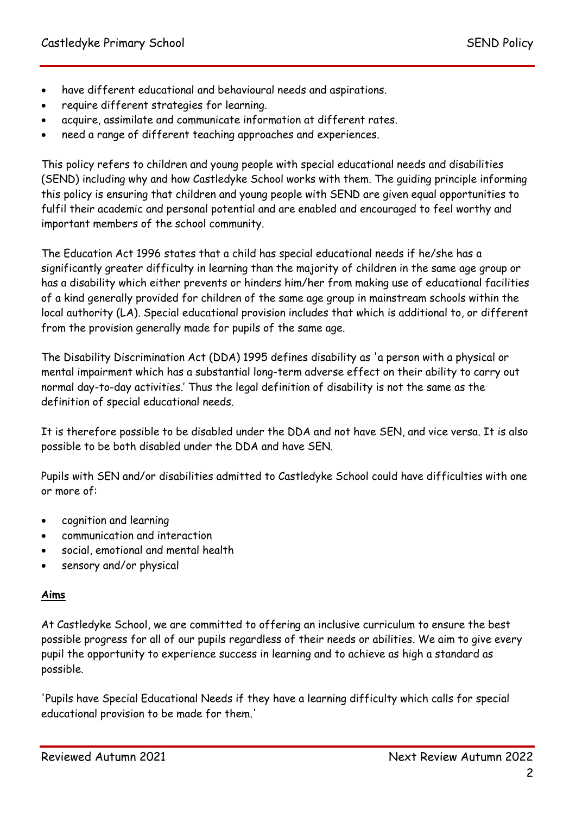- have different educational and behavioural needs and aspirations.
- require different strategies for learning.
- acquire, assimilate and communicate information at different rates.
- need a range of different teaching approaches and experiences.

This policy refers to children and young people with special educational needs and disabilities (SEND) including why and how Castledyke School works with them. The guiding principle informing this policy is ensuring that children and young people with SEND are given equal opportunities to fulfil their academic and personal potential and are enabled and encouraged to feel worthy and important members of the school community.

The Education Act 1996 states that a child has special educational needs if he/she has a significantly greater difficulty in learning than the majority of children in the same age group or has a disability which either prevents or hinders him/her from making use of educational facilities of a kind generally provided for children of the same age group in mainstream schools within the local authority (LA). Special educational provision includes that which is additional to, or different from the provision generally made for pupils of the same age.

The Disability Discrimination Act (DDA) 1995 defines disability as 'a person with a physical or mental impairment which has a substantial long-term adverse effect on their ability to carry out normal day-to-day activities.' Thus the legal definition of disability is not the same as the definition of special educational needs.

It is therefore possible to be disabled under the DDA and not have SEN, and vice versa. It is also possible to be both disabled under the DDA and have SEN.

Pupils with SEN and/or disabilities admitted to Castledyke School could have difficulties with one or more of:

- cognition and learning
- communication and interaction
- social, emotional and mental health
- sensory and/or physical

## **Aims**

At Castledyke School, we are committed to offering an inclusive curriculum to ensure the best possible progress for all of our pupils regardless of their needs or abilities. We aim to give every pupil the opportunity to experience success in learning and to achieve as high a standard as possible.

'Pupils have Special Educational Needs if they have a learning difficulty which calls for special educational provision to be made for them.'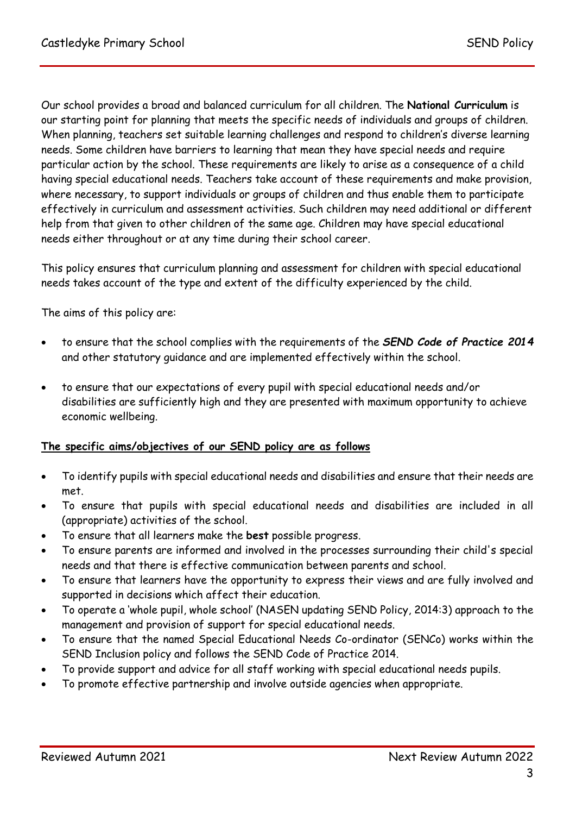Our school provides a broad and balanced curriculum for all children. The **National Curriculum** is our starting point for planning that meets the specific needs of individuals and groups of children. When planning, teachers set suitable learning challenges and respond to children's diverse learning needs. Some children have barriers to learning that mean they have special needs and require particular action by the school. These requirements are likely to arise as a consequence of a child having special educational needs. Teachers take account of these requirements and make provision, where necessary, to support individuals or groups of children and thus enable them to participate effectively in curriculum and assessment activities. Such children may need additional or different help from that given to other children of the same age. Children may have special educational needs either throughout or at any time during their school career.

This policy ensures that curriculum planning and assessment for children with special educational needs takes account of the type and extent of the difficulty experienced by the child.

The aims of this policy are:

- to ensure that the school complies with the requirements of the *SEND Code of Practice 2014* and other statutory guidance and are implemented effectively within the school.
- to ensure that our expectations of every pupil with special educational needs and/or disabilities are sufficiently high and they are presented with maximum opportunity to achieve economic wellbeing.

## **The specific aims/objectives of our SEND policy are as follows**

- To identify pupils with special educational needs and disabilities and ensure that their needs are met.
- To ensure that pupils with special educational needs and disabilities are included in all (appropriate) activities of the school.
- To ensure that all learners make the **best** possible progress.
- To ensure parents are informed and involved in the processes surrounding their child's special needs and that there is effective communication between parents and school.
- To ensure that learners have the opportunity to express their views and are fully involved and supported in decisions which affect their education.
- To operate a 'whole pupil, whole school' (NASEN updating SEND Policy, 2014:3) approach to the management and provision of support for special educational needs.
- To ensure that the named Special Educational Needs Co-ordinator (SENCo) works within the SEND Inclusion policy and follows the SEND Code of Practice 2014.
- To provide support and advice for all staff working with special educational needs pupils.
- To promote effective partnership and involve outside agencies when appropriate.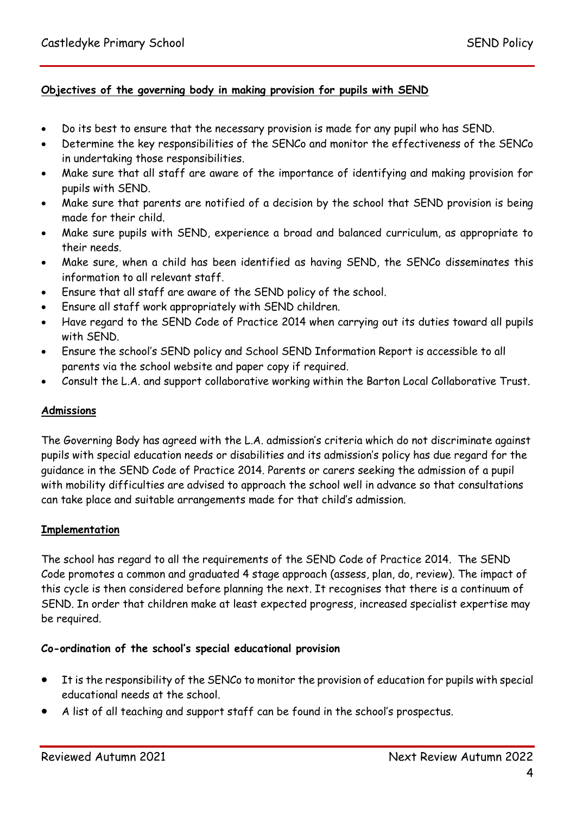## **Objectives of the governing body in making provision for pupils with SEND**

- Do its best to ensure that the necessary provision is made for any pupil who has SEND.
- Determine the key responsibilities of the SENCo and monitor the effectiveness of the SENCo in undertaking those responsibilities.
- Make sure that all staff are aware of the importance of identifying and making provision for pupils with SEND.
- Make sure that parents are notified of a decision by the school that SEND provision is being made for their child.
- Make sure pupils with SEND, experience a broad and balanced curriculum, as appropriate to their needs.
- Make sure, when a child has been identified as having SEND, the SENCo disseminates this information to all relevant staff.
- Ensure that all staff are aware of the SEND policy of the school.
- Ensure all staff work appropriately with SEND children.
- Have regard to the SEND Code of Practice 2014 when carrying out its duties toward all pupils with SEND.
- Ensure the school's SEND policy and School SEND Information Report is accessible to all parents via the school website and paper copy if required.
- Consult the L.A. and support collaborative working within the Barton Local Collaborative Trust.

### **Admissions**

The Governing Body has agreed with the L.A. admission's criteria which do not discriminate against pupils with special education needs or disabilities and its admission's policy has due regard for the guidance in the SEND Code of Practice 2014. Parents or carers seeking the admission of a pupil with mobility difficulties are advised to approach the school well in advance so that consultations can take place and suitable arrangements made for that child's admission.

#### **Implementation**

The school has regard to all the requirements of the SEND Code of Practice 2014. The SEND Code promotes a common and graduated 4 stage approach (assess, plan, do, review). The impact of this cycle is then considered before planning the next. It recognises that there is a continuum of SEND. In order that children make at least expected progress, increased specialist expertise may be required.

#### **Co-ordination of the school's special educational provision**

- It is the responsibility of the SENCo to monitor the provision of education for pupils with special educational needs at the school.
- A list of all teaching and support staff can be found in the school's prospectus.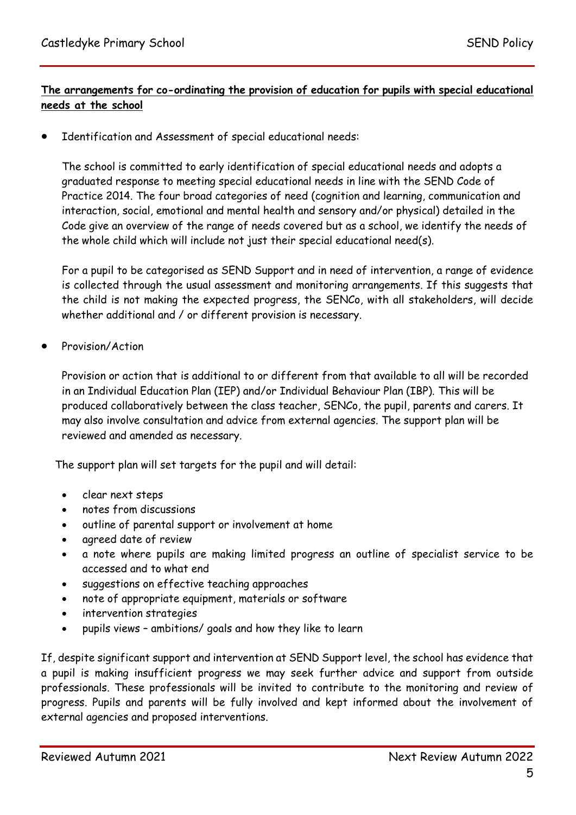# **The arrangements for co-ordinating the provision of education for pupils with special educational needs at the school**

Identification and Assessment of special educational needs:

The school is committed to early identification of special educational needs and adopts a graduated response to meeting special educational needs in line with the SEND Code of Practice 2014. The four broad categories of need (cognition and learning, communication and interaction, social, emotional and mental health and sensory and/or physical) detailed in the Code give an overview of the range of needs covered but as a school, we identify the needs of the whole child which will include not just their special educational need(s).

For a pupil to be categorised as SEND Support and in need of intervention, a range of evidence is collected through the usual assessment and monitoring arrangements. If this suggests that the child is not making the expected progress, the SENCo, with all stakeholders, will decide whether additional and / or different provision is necessary.

Provision/Action

Provision or action that is additional to or different from that available to all will be recorded in an Individual Education Plan (IEP) and/or Individual Behaviour Plan (IBP). This will be produced collaboratively between the class teacher, SENCo, the pupil, parents and carers. It may also involve consultation and advice from external agencies. The support plan will be reviewed and amended as necessary.

The support plan will set targets for the pupil and will detail:

- clear next steps
- notes from discussions
- outline of parental support or involvement at home
- agreed date of review
- a note where pupils are making limited progress an outline of specialist service to be accessed and to what end
- suggestions on effective teaching approaches
- note of appropriate equipment, materials or software
- intervention strategies
- pupils views ambitions/ goals and how they like to learn

If, despite significant support and intervention at SEND Support level, the school has evidence that a pupil is making insufficient progress we may seek further advice and support from outside professionals. These professionals will be invited to contribute to the monitoring and review of progress. Pupils and parents will be fully involved and kept informed about the involvement of external agencies and proposed interventions.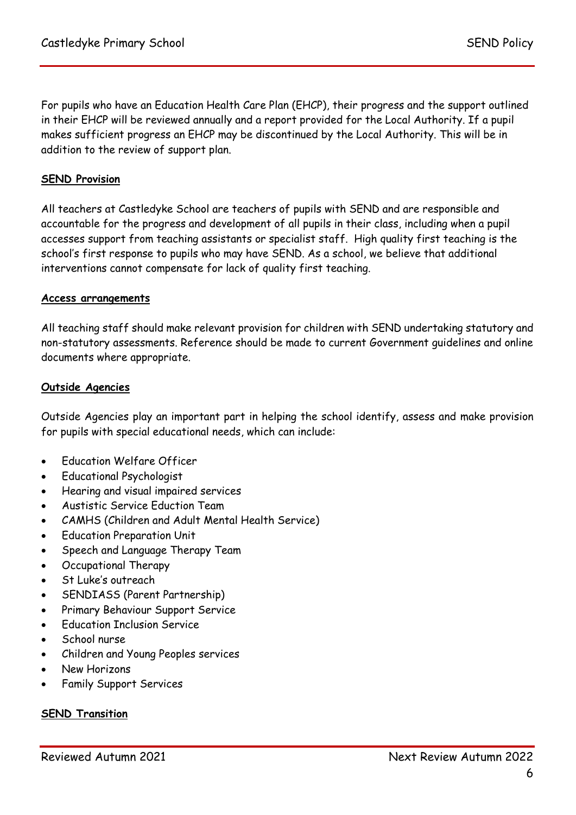For pupils who have an Education Health Care Plan (EHCP), their progress and the support outlined in their EHCP will be reviewed annually and a report provided for the Local Authority. If a pupil makes sufficient progress an EHCP may be discontinued by the Local Authority. This will be in addition to the review of support plan.

## **SEND Provision**

All teachers at Castledyke School are teachers of pupils with SEND and are responsible and accountable for the progress and development of all pupils in their class, including when a pupil accesses support from teaching assistants or specialist staff. High quality first teaching is the school's first response to pupils who may have SEND. As a school, we believe that additional interventions cannot compensate for lack of quality first teaching.

#### **Access arrangements**

All teaching staff should make relevant provision for children with SEND undertaking statutory and non-statutory assessments. Reference should be made to current Government guidelines and online documents where appropriate.

#### **Outside Agencies**

Outside Agencies play an important part in helping the school identify, assess and make provision for pupils with special educational needs, which can include:

- Education Welfare Officer
- Educational Psychologist
- Hearing and visual impaired services
- Austistic Service Eduction Team
- CAMHS (Children and Adult Mental Health Service)
- Education Preparation Unit
- Speech and Language Therapy Team
- Occupational Therapy
- St Luke's outreach
- SENDIASS (Parent Partnership)
- Primary Behaviour Support Service
- Education Inclusion Service
- School nurse
- Children and Young Peoples services
- New Horizons
- Family Support Services

#### **SEND Transition**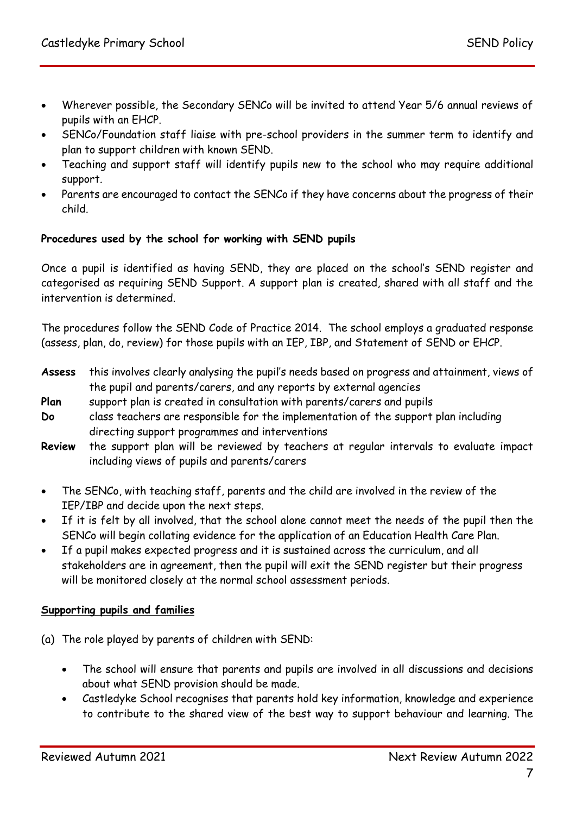- Wherever possible, the Secondary SENCo will be invited to attend Year 5/6 annual reviews of pupils with an EHCP.
- SENCo/Foundation staff liaise with pre-school providers in the summer term to identify and plan to support children with known SEND.
- Teaching and support staff will identify pupils new to the school who may require additional support.
- Parents are encouraged to contact the SENCo if they have concerns about the progress of their child.

## **Procedures used by the school for working with SEND pupils**

Once a pupil is identified as having SEND, they are placed on the school's SEND register and categorised as requiring SEND Support. A support plan is created, shared with all staff and the intervention is determined.

The procedures follow the SEND Code of Practice 2014. The school employs a graduated response (assess, plan, do, review) for those pupils with an IEP, IBP, and Statement of SEND or EHCP.

- **Assess** this involves clearly analysing the pupil's needs based on progress and attainment, views of the pupil and parents/carers, and any reports by external agencies
- **Plan** support plan is created in consultation with parents/carers and pupils
- **Do** class teachers are responsible for the implementation of the support plan including directing support programmes and interventions
- **Review** the support plan will be reviewed by teachers at regular intervals to evaluate impact including views of pupils and parents/carers
- The SENCo, with teaching staff, parents and the child are involved in the review of the IEP/IBP and decide upon the next steps.
- If it is felt by all involved, that the school alone cannot meet the needs of the pupil then the SENCo will begin collating evidence for the application of an Education Health Care Plan.
- If a pupil makes expected progress and it is sustained across the curriculum, and all stakeholders are in agreement, then the pupil will exit the SEND register but their progress will be monitored closely at the normal school assessment periods.

## **Supporting pupils and families**

- (a) The role played by parents of children with SEND:
	- The school will ensure that parents and pupils are involved in all discussions and decisions about what SEND provision should be made.
	- Castledyke School recognises that parents hold key information, knowledge and experience to contribute to the shared view of the best way to support behaviour and learning. The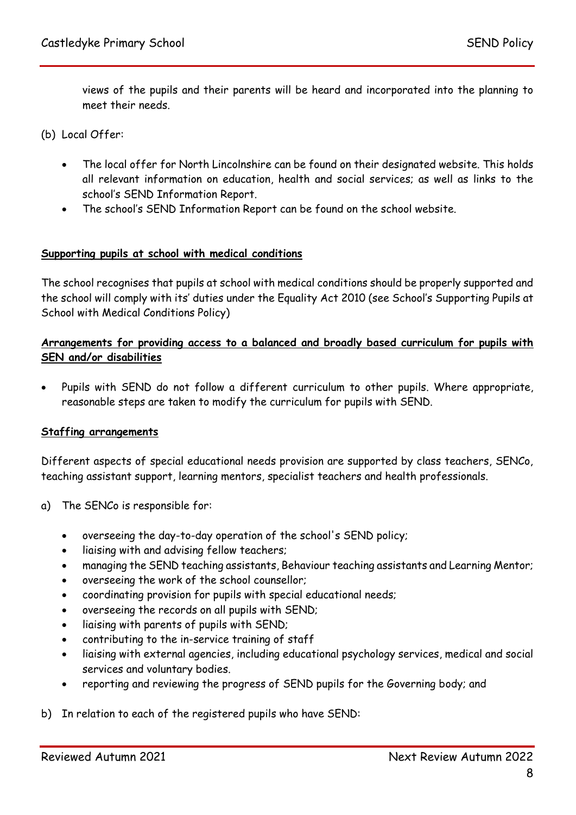views of the pupils and their parents will be heard and incorporated into the planning to meet their needs.

(b) Local Offer:

- The local offer for North Lincolnshire can be found on their designated website. This holds all relevant information on education, health and social services; as well as links to the school's SEND Information Report.
- The school's SEND Information Report can be found on the school website.

#### **Supporting pupils at school with medical conditions**

The school recognises that pupils at school with medical conditions should be properly supported and the school will comply with its' duties under the Equality Act 2010 (see School's Supporting Pupils at School with Medical Conditions Policy)

## **Arrangements for providing access to a balanced and broadly based curriculum for pupils with SEN and/or disabilities**

 Pupils with SEND do not follow a different curriculum to other pupils. Where appropriate, reasonable steps are taken to modify the curriculum for pupils with SEND.

#### **Staffing arrangements**

Different aspects of special educational needs provision are supported by class teachers, SENCo, teaching assistant support, learning mentors, specialist teachers and health professionals.

- a) The SENCo is responsible for:
	- overseeing the day-to-day operation of the school's SEND policy;
	- liaising with and advising fellow teachers;
	- managing the SEND teaching assistants, Behaviour teaching assistants and Learning Mentor;
	- overseeing the work of the school counsellor;
	- coordinating provision for pupils with special educational needs;
	- overseeing the records on all pupils with SEND;
	- $\bullet$  liaising with parents of pupils with SEND;
	- contributing to the in-service training of staff
	- liaising with external agencies, including educational psychology services, medical and social services and voluntary bodies.
	- reporting and reviewing the progress of SEND pupils for the Governing body; and

#### b) In relation to each of the registered pupils who have SEND: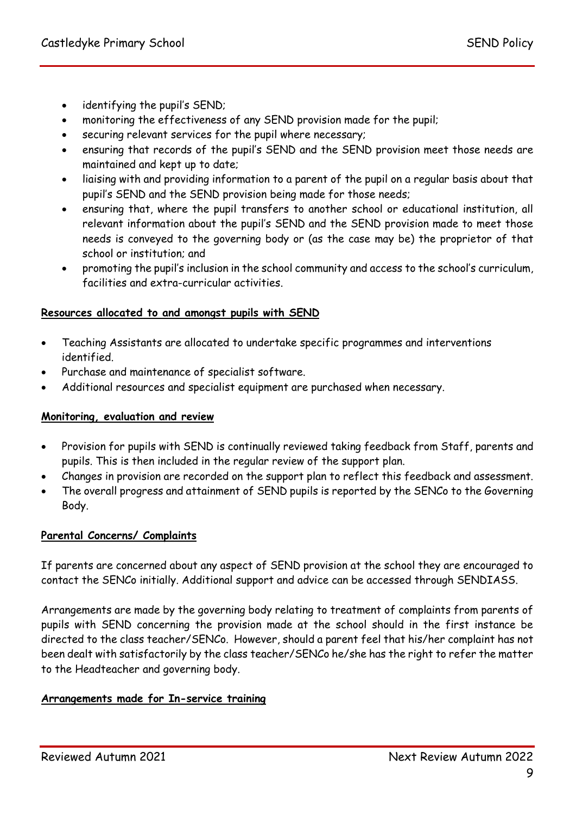- identifying the pupil's SEND;
- monitoring the effectiveness of any SEND provision made for the pupil;
- securing relevant services for the pupil where necessary;
- ensuring that records of the pupil's SEND and the SEND provision meet those needs are maintained and kept up to date;
- liaising with and providing information to a parent of the pupil on a regular basis about that pupil's SEND and the SEND provision being made for those needs;
- ensuring that, where the pupil transfers to another school or educational institution, all relevant information about the pupil's SEND and the SEND provision made to meet those needs is conveyed to the governing body or (as the case may be) the proprietor of that school or institution; and
- promoting the pupil's inclusion in the school community and access to the school's curriculum, facilities and extra-curricular activities.

## **Resources allocated to and amongst pupils with SEND**

- Teaching Assistants are allocated to undertake specific programmes and interventions identified.
- Purchase and maintenance of specialist software.
- Additional resources and specialist equipment are purchased when necessary.

## **Monitoring, evaluation and review**

- Provision for pupils with SEND is continually reviewed taking feedback from Staff, parents and pupils. This is then included in the regular review of the support plan.
- Changes in provision are recorded on the support plan to reflect this feedback and assessment.
- The overall progress and attainment of SEND pupils is reported by the SENCo to the Governing Body.

## **Parental Concerns/ Complaints**

If parents are concerned about any aspect of SEND provision at the school they are encouraged to contact the SENCo initially. Additional support and advice can be accessed through SENDIASS.

Arrangements are made by the governing body relating to treatment of complaints from parents of pupils with SEND concerning the provision made at the school should in the first instance be directed to the class teacher/SENCo. However, should a parent feel that his/her complaint has not been dealt with satisfactorily by the class teacher/SENCo he/she has the right to refer the matter to the Headteacher and governing body.

## **Arrangements made for In-service training**